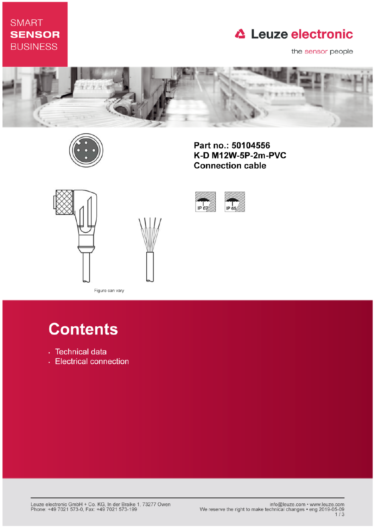## **SMART SENSOR BUSINESS**

# **△ Leuze electronic**

the sensor people



IP 67



Part no.: 50104556 K-D M12W-5P-2m-PVC **Connection cable** 

IP 65





Figure can vary

# **Contents**

- · Technical data
- Electrical connection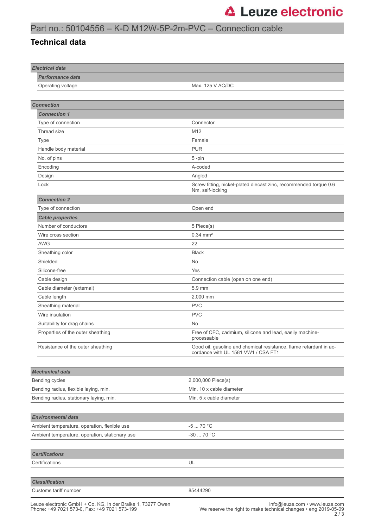### Part no.: 50104556 – K-D M12W-5P-2m-PVC – Connection cable

#### **Technical data**

| <b>Electrical data</b>                         |                                                                                                           |
|------------------------------------------------|-----------------------------------------------------------------------------------------------------------|
| <b>Performance data</b>                        |                                                                                                           |
| Operating voltage                              | Max. 125 V AC/DC                                                                                          |
|                                                |                                                                                                           |
| <b>Connection</b>                              |                                                                                                           |
| <b>Connection 1</b>                            |                                                                                                           |
| Type of connection                             | Connector                                                                                                 |
| Thread size                                    | M12                                                                                                       |
| Type                                           | Female                                                                                                    |
| Handle body material                           | <b>PUR</b>                                                                                                |
| No. of pins                                    | 5-pin                                                                                                     |
| Encoding                                       | A-coded                                                                                                   |
| Design                                         | Angled                                                                                                    |
| Lock                                           | Screw fitting, nickel-plated diecast zinc, recommended torque 0.6<br>Nm, self-locking                     |
| <b>Connection 2</b>                            |                                                                                                           |
| Type of connection                             | Open end                                                                                                  |
| <b>Cable properties</b>                        |                                                                                                           |
| Number of conductors                           | 5 Piece(s)                                                                                                |
| Wire cross section                             | $0.34 \, \text{mm}^2$                                                                                     |
| <b>AWG</b>                                     | 22                                                                                                        |
| Sheathing color                                | <b>Black</b>                                                                                              |
| Shielded                                       | No                                                                                                        |
| Silicone-free                                  | Yes                                                                                                       |
| Cable design                                   | Connection cable (open on one end)                                                                        |
| Cable diameter (external)                      | 5.9 mm                                                                                                    |
| Cable length                                   | 2,000 mm                                                                                                  |
| Sheathing material                             | <b>PVC</b>                                                                                                |
| Wire insulation                                | <b>PVC</b>                                                                                                |
| Suitability for drag chains                    | No                                                                                                        |
| Properties of the outer sheathing              | Free of CFC, cadmium, silicone and lead, easily machine-<br>processable                                   |
| Resistance of the outer sheathing              | Good oil, gasoline and chemical resistance, flame retardant in ac-<br>cordance with UL 1581 VW1 / CSA FT1 |
|                                                |                                                                                                           |
| <b>Mechanical data</b>                         |                                                                                                           |
| Bending cycles                                 | 2,000,000 Piece(s)                                                                                        |
| Bending radius, flexible laying, min.          | Min. 10 x cable diameter                                                                                  |
| Bending radius, stationary laying, min.        | Min. 5 x cable diameter                                                                                   |
|                                                |                                                                                                           |
| <b>Environmental data</b>                      |                                                                                                           |
| Ambient temperature, operation, flexible use   | $-570 °C$                                                                                                 |
| Ambient temperature, operation, stationary use | -30  70 °C                                                                                                |
|                                                |                                                                                                           |
| <b>Certifications</b>                          |                                                                                                           |
| Certifications                                 | UL                                                                                                        |
|                                                |                                                                                                           |
| <b>Classification</b>                          |                                                                                                           |
| Customs tariff number                          | 85444290                                                                                                  |
|                                                |                                                                                                           |